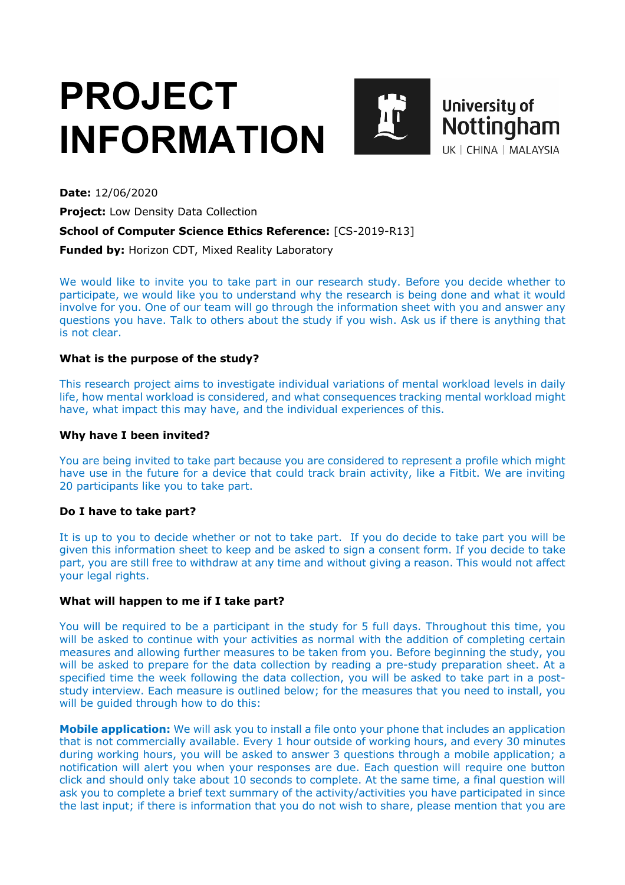# **PROJECT INFORMATION**



**Date:** 12/06/2020

**Project:** Low Density Data Collection

## **School of Computer Science Ethics Reference:** [CS-2019-R13]

**Funded by:** Horizon CDT, Mixed Reality Laboratory

We would like to invite you to take part in our research study. Before you decide whether to participate, we would like you to understand why the research is being done and what it would involve for you. One of our team will go through the information sheet with you and answer any questions you have. Talk to others about the study if you wish. Ask us if there is anything that is not clear.

# **What is the purpose of the study?**

This research project aims to investigate individual variations of mental workload levels in daily life, how mental workload is considered, and what consequences tracking mental workload might have, what impact this may have, and the individual experiences of this.

## **Why have I been invited?**

You are being invited to take part because you are considered to represent a profile which might have use in the future for a device that could track brain activity, like a Fitbit. We are inviting 20 participants like you to take part.

## **Do I have to take part?**

It is up to you to decide whether or not to take part. If you do decide to take part you will be given this information sheet to keep and be asked to sign a consent form. If you decide to take part, you are still free to withdraw at any time and without giving a reason. This would not affect your legal rights.

## **What will happen to me if I take part?**

You will be required to be a participant in the study for 5 full days. Throughout this time, you will be asked to continue with your activities as normal with the addition of completing certain measures and allowing further measures to be taken from you. Before beginning the study, you will be asked to prepare for the data collection by reading a pre-study preparation sheet. At a specified time the week following the data collection, you will be asked to take part in a poststudy interview. Each measure is outlined below; for the measures that you need to install, you will be guided through how to do this:

**Mobile application:** We will ask you to install a file onto your phone that includes an application that is not commercially available. Every 1 hour outside of working hours, and every 30 minutes during working hours, you will be asked to answer 3 questions through a mobile application; a notification will alert you when your responses are due. Each question will require one button click and should only take about 10 seconds to complete. At the same time, a final question will ask you to complete a brief text summary of the activity/activities you have participated in since the last input; if there is information that you do not wish to share, please mention that you are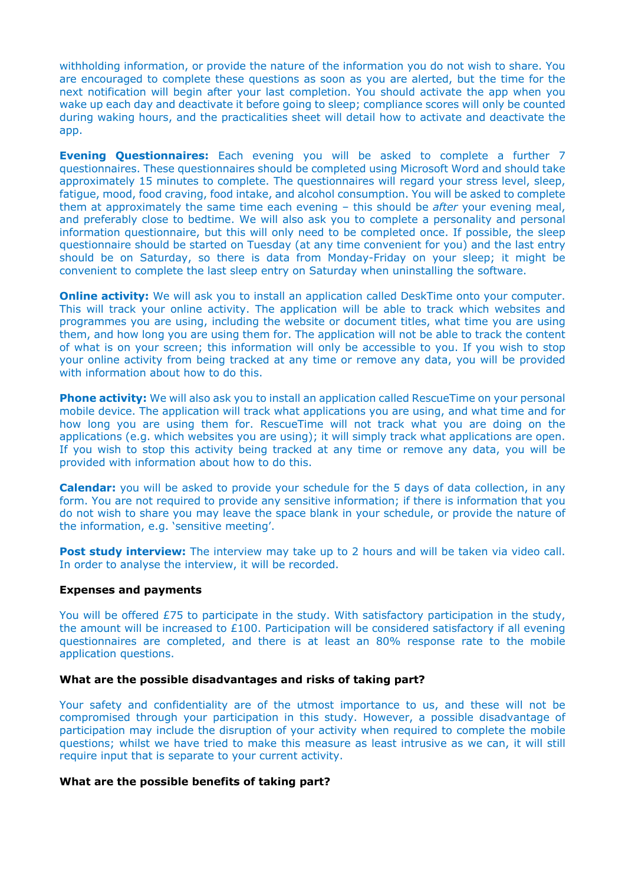withholding information, or provide the nature of the information you do not wish to share. You are encouraged to complete these questions as soon as you are alerted, but the time for the next notification will begin after your last completion. You should activate the app when you wake up each day and deactivate it before going to sleep; compliance scores will only be counted during waking hours, and the practicalities sheet will detail how to activate and deactivate the app.

**Evening Questionnaires:** Each evening you will be asked to complete a further 7 questionnaires. These questionnaires should be completed using Microsoft Word and should take approximately 15 minutes to complete. The questionnaires will regard your stress level, sleep, fatigue, mood, food craving, food intake, and alcohol consumption. You will be asked to complete them at approximately the same time each evening – this should be *after* your evening meal, and preferably close to bedtime. We will also ask you to complete a personality and personal information questionnaire, but this will only need to be completed once. If possible, the sleep questionnaire should be started on Tuesday (at any time convenient for you) and the last entry should be on Saturday, so there is data from Monday-Friday on your sleep; it might be convenient to complete the last sleep entry on Saturday when uninstalling the software.

**Online activity:** We will ask you to install an application called DeskTime onto your computer. This will track your online activity. The application will be able to track which websites and programmes you are using, including the website or document titles, what time you are using them, and how long you are using them for. The application will not be able to track the content of what is on your screen; this information will only be accessible to you. If you wish to stop your online activity from being tracked at any time or remove any data, you will be provided with information about how to do this.

**Phone activity:** We will also ask you to install an application called RescueTime on your personal mobile device. The application will track what applications you are using, and what time and for how long you are using them for. RescueTime will not track what you are doing on the applications (e.g. which websites you are using); it will simply track what applications are open. If you wish to stop this activity being tracked at any time or remove any data, you will be provided with information about how to do this.

**Calendar:** you will be asked to provide your schedule for the 5 days of data collection, in any form. You are not required to provide any sensitive information; if there is information that you do not wish to share you may leave the space blank in your schedule, or provide the nature of the information, e.g. 'sensitive meeting'.

**Post study interview:** The interview may take up to 2 hours and will be taken via video call. In order to analyse the interview, it will be recorded.

## **Expenses and payments**

You will be offered £75 to participate in the study. With satisfactory participation in the study, the amount will be increased to £100. Participation will be considered satisfactory if all evening questionnaires are completed, and there is at least an 80% response rate to the mobile application questions.

## **What are the possible disadvantages and risks of taking part?**

Your safety and confidentiality are of the utmost importance to us, and these will not be compromised through your participation in this study. However, a possible disadvantage of participation may include the disruption of your activity when required to complete the mobile questions; whilst we have tried to make this measure as least intrusive as we can, it will still require input that is separate to your current activity.

#### **What are the possible benefits of taking part?**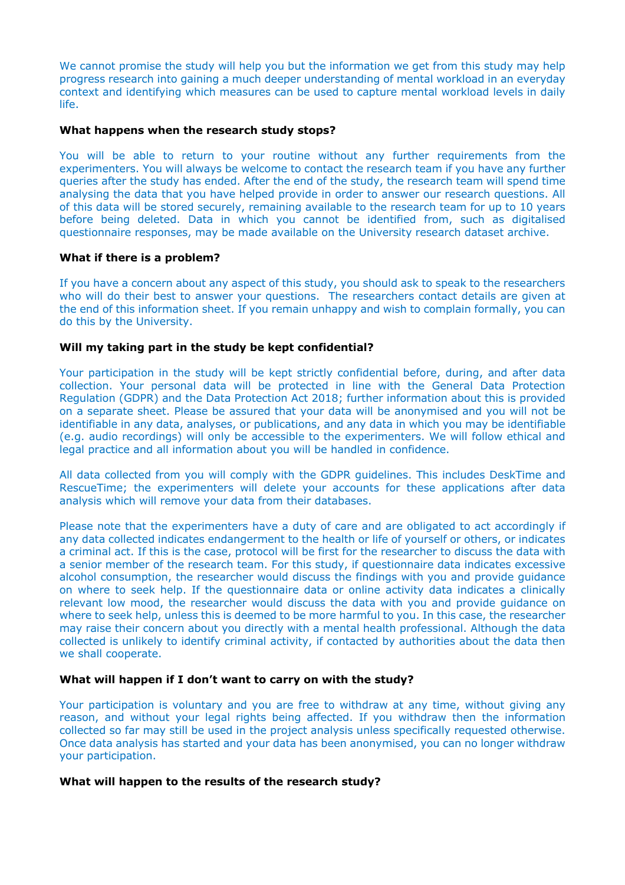We cannot promise the study will help you but the information we get from this study may help progress research into gaining a much deeper understanding of mental workload in an everyday context and identifying which measures can be used to capture mental workload levels in daily life.

## **What happens when the research study stops?**

You will be able to return to your routine without any further requirements from the experimenters. You will always be welcome to contact the research team if you have any further queries after the study has ended. After the end of the study, the research team will spend time analysing the data that you have helped provide in order to answer our research questions. All of this data will be stored securely, remaining available to the research team for up to 10 years before being deleted. Data in which you cannot be identified from, such as digitalised questionnaire responses, may be made available on the University research dataset archive.

## **What if there is a problem?**

If you have a concern about any aspect of this study, you should ask to speak to the researchers who will do their best to answer your questions. The researchers contact details are given at the end of this information sheet. If you remain unhappy and wish to complain formally, you can do this by the University.

### **Will my taking part in the study be kept confidential?**

Your participation in the study will be kept strictly confidential before, during, and after data collection. Your personal data will be protected in line with the General Data Protection Regulation (GDPR) and the Data Protection Act 2018; further information about this is provided on a separate sheet. Please be assured that your data will be anonymised and you will not be identifiable in any data, analyses, or publications, and any data in which you may be identifiable (e.g. audio recordings) will only be accessible to the experimenters. We will follow ethical and legal practice and all information about you will be handled in confidence.

All data collected from you will comply with the GDPR guidelines. This includes DeskTime and RescueTime; the experimenters will delete your accounts for these applications after data analysis which will remove your data from their databases.

Please note that the experimenters have a duty of care and are obligated to act accordingly if any data collected indicates endangerment to the health or life of yourself or others, or indicates a criminal act. If this is the case, protocol will be first for the researcher to discuss the data with a senior member of the research team. For this study, if questionnaire data indicates excessive alcohol consumption, the researcher would discuss the findings with you and provide guidance on where to seek help. If the questionnaire data or online activity data indicates a clinically relevant low mood, the researcher would discuss the data with you and provide guidance on where to seek help, unless this is deemed to be more harmful to you. In this case, the researcher may raise their concern about you directly with a mental health professional. Although the data collected is unlikely to identify criminal activity, if contacted by authorities about the data then we shall cooperate.

#### **What will happen if I don't want to carry on with the study?**

Your participation is voluntary and you are free to withdraw at any time, without giving any reason, and without your legal rights being affected. If you withdraw then the information collected so far may still be used in the project analysis unless specifically requested otherwise. Once data analysis has started and your data has been anonymised, you can no longer withdraw your participation.

#### **What will happen to the results of the research study?**